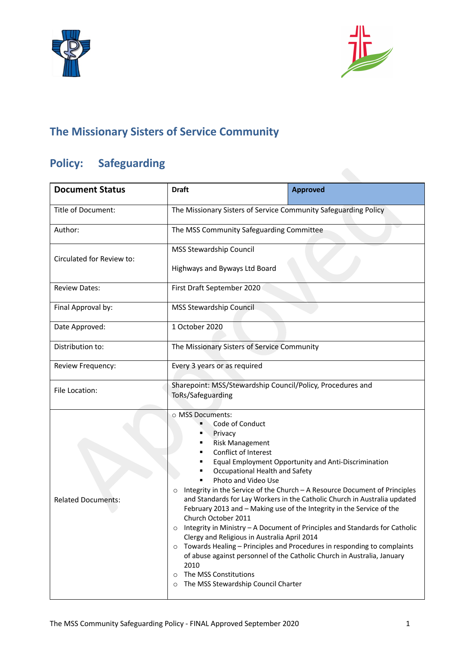



# **The Missionary Sisters of Service Community**

# **Policy: Safeguarding**

| <b>Document Status</b>    | <b>Draft</b>                                                                                                                                                                                                                                                                                                                                                                                                                                                                                                                                                                                                                                                                                                                                                                                                                                                                                     | <b>Approved</b> |
|---------------------------|--------------------------------------------------------------------------------------------------------------------------------------------------------------------------------------------------------------------------------------------------------------------------------------------------------------------------------------------------------------------------------------------------------------------------------------------------------------------------------------------------------------------------------------------------------------------------------------------------------------------------------------------------------------------------------------------------------------------------------------------------------------------------------------------------------------------------------------------------------------------------------------------------|-----------------|
| Title of Document:        | The Missionary Sisters of Service Community Safeguarding Policy                                                                                                                                                                                                                                                                                                                                                                                                                                                                                                                                                                                                                                                                                                                                                                                                                                  |                 |
| Author:                   | The MSS Community Safeguarding Committee                                                                                                                                                                                                                                                                                                                                                                                                                                                                                                                                                                                                                                                                                                                                                                                                                                                         |                 |
| Circulated for Review to: | MSS Stewardship Council                                                                                                                                                                                                                                                                                                                                                                                                                                                                                                                                                                                                                                                                                                                                                                                                                                                                          |                 |
|                           | Highways and Byways Ltd Board                                                                                                                                                                                                                                                                                                                                                                                                                                                                                                                                                                                                                                                                                                                                                                                                                                                                    |                 |
| <b>Review Dates:</b>      | First Draft September 2020                                                                                                                                                                                                                                                                                                                                                                                                                                                                                                                                                                                                                                                                                                                                                                                                                                                                       |                 |
| Final Approval by:        | <b>MSS Stewardship Council</b>                                                                                                                                                                                                                                                                                                                                                                                                                                                                                                                                                                                                                                                                                                                                                                                                                                                                   |                 |
| Date Approved:            | 1 October 2020                                                                                                                                                                                                                                                                                                                                                                                                                                                                                                                                                                                                                                                                                                                                                                                                                                                                                   |                 |
| Distribution to:          | The Missionary Sisters of Service Community                                                                                                                                                                                                                                                                                                                                                                                                                                                                                                                                                                                                                                                                                                                                                                                                                                                      |                 |
| Review Frequency:         | Every 3 years or as required                                                                                                                                                                                                                                                                                                                                                                                                                                                                                                                                                                                                                                                                                                                                                                                                                                                                     |                 |
| File Location:            | Sharepoint: MSS/Stewardship Council/Policy, Procedures and<br>ToRs/Safeguarding                                                                                                                                                                                                                                                                                                                                                                                                                                                                                                                                                                                                                                                                                                                                                                                                                  |                 |
| <b>Related Documents:</b> | o MSS Documents:<br>Code of Conduct<br>Privacy<br><b>Risk Management</b><br>Conflict of Interest<br>Equal Employment Opportunity and Anti-Discrimination<br>Occupational Health and Safety<br>Photo and Video Use<br>Integrity in the Service of the Church - A Resource Document of Principles<br>$\circ$<br>and Standards for Lay Workers in the Catholic Church in Australia updated<br>February 2013 and – Making use of the Integrity in the Service of the<br>Church October 2011<br>Integrity in Ministry - A Document of Principles and Standards for Catholic<br>$\circ$<br>Clergy and Religious in Australia April 2014<br>Towards Healing - Principles and Procedures in responding to complaints<br>$\circ$<br>of abuse against personnel of the Catholic Church in Australia, January<br>2010<br>The MSS Constitutions<br>$\circ$<br>The MSS Stewardship Council Charter<br>$\circ$ |                 |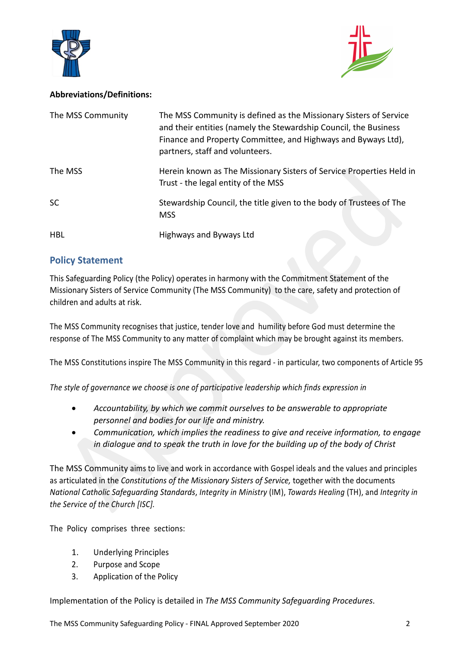



#### **Abbreviations/Definitions:**

| The MSS Community | The MSS Community is defined as the Missionary Sisters of Service<br>and their entities (namely the Stewardship Council, the Business<br>Finance and Property Committee, and Highways and Byways Ltd),<br>partners, staff and volunteers. |
|-------------------|-------------------------------------------------------------------------------------------------------------------------------------------------------------------------------------------------------------------------------------------|
| The MSS           | Herein known as The Missionary Sisters of Service Properties Held in<br>Trust - the legal entity of the MSS                                                                                                                               |
| <b>SC</b>         | Stewardship Council, the title given to the body of Trustees of The<br><b>MSS</b>                                                                                                                                                         |
| <b>HBL</b>        | Highways and Byways Ltd                                                                                                                                                                                                                   |

### **Policy Statement**

This Safeguarding Policy (the Policy) operates in harmony with the Commitment Statement of the Missionary Sisters of Service Community (The MSS Community) to the care, safety and protection of children and adults at risk.

The MSS Community recognises that justice, tender love and humility before God must determine the response of The MSS Community to any matter of complaint which may be brought against its members.

The MSS Constitutions inspire The MSS Community in this regard - in particular, two components of Article 95

*The style of governance we choose is one of participative leadership which finds expression in*

- *Accountability, by which we commit ourselves to be answerable to appropriate personnel and bodies for our life and ministry.*
- *Communication, which implies the readiness to give and receive information, to engage in dialogue and to speak the truth in love for the building up of the body of Christ*

The MSS Community aims to live and work in accordance with Gospel ideals and the values and principles as articulated in the *Constitutions of the Missionary Sisters of Service,* together with the documents *National Catholic Safeguarding Standards*, *Integrity in Ministry* (IM), *Towards Healing* (TH), and *Integrity in the Service of the Church [ISC].*

The Policy comprises three sections:

- 1. Underlying Principles
- 2. Purpose and Scope
- 3. Application of the Policy

Implementation of the Policy is detailed in *The MSS Community Safeguarding Procedures*.